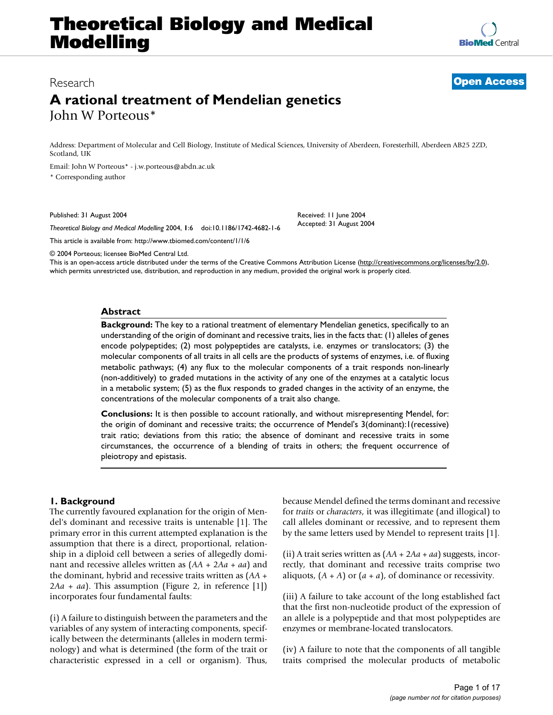**[BioMed](http://www.biomedcentral.com/)** Central

# Research **[Open Access](http://www.biomedcentral.com/info/about/charter/)**

# **A rational treatment of Mendelian genetics** John W Porteous\*

Address: Department of Molecular and Cell Biology, Institute of Medical Sciences, University of Aberdeen, Foresterhill, Aberdeen AB25 2ZD, Scotland, UK

Email: John W Porteous\* - j.w.porteous@abdn.ac.uk

\* Corresponding author

Published: 31 August 2004

*Theoretical Biology and Medical Modelling* 2004, **1**:6 doi:10.1186/1742-4682-1-6

[This article is available from: http://www.tbiomed.com/content/1/1/6](http://www.tbiomed.com/content/1/1/6)

© 2004 Porteous; licensee BioMed Central Ltd.

This is an open-access article distributed under the terms of the Creative Commons Attribution License (<http://creativecommons.org/licenses/by/2.0>), which permits unrestricted use, distribution, and reproduction in any medium, provided the original work is properly cited.

Received: 11 June 2004 Accepted: 31 August 2004

## **Abstract**

**Background:** The key to a rational treatment of elementary Mendelian genetics, specifically to an understanding of the origin of dominant and recessive traits, lies in the facts that: (1) alleles of genes encode polypeptides; (2) most polypeptides are catalysts, i.e. enzymes or translocators; (3) the molecular components of all traits in all cells are the products of systems of enzymes, i.e. of fluxing metabolic pathways; (4) any flux to the molecular components of a trait responds non-linearly (non-additively) to graded mutations in the activity of any one of the enzymes at a catalytic locus in a metabolic system; (5) as the flux responds to graded changes in the activity of an enzyme, the concentrations of the molecular components of a trait also change.

**Conclusions:** It is then possible to account rationally, and without misrepresenting Mendel, for: the origin of dominant and recessive traits; the occurrence of Mendel's 3(dominant):1(recessive) trait ratio; deviations from this ratio; the absence of dominant and recessive traits in some circumstances, the occurrence of a blending of traits in others; the frequent occurrence of pleiotropy and epistasis.

## **1. Background**

The currently favoured explanation for the origin of Mendel's dominant and recessive traits is untenable [1]. The primary error in this current attempted explanation is the assumption that there is a direct, proportional, relationship in a diploid cell between a series of allegedly dominant and recessive alleles written as (*AA* + 2*Aa* + *aa*) and the dominant, hybrid and recessive traits written as (*AA* + 2*Aa* + *aa*). This assumption (Figure [2,](#page-1-0) in reference [1]) incorporates four fundamental faults:

(i) A failure to distinguish between the parameters and the variables of any system of interacting components, specifically between the determinants (alleles in modern terminology) and what is determined (the form of the trait or characteristic expressed in a cell or organism). Thus, because Mendel defined the terms dominant and recessive for *traits* or *characters*, it was illegitimate (and illogical) to call alleles dominant or recessive, and to represent them by the same letters used by Mendel to represent traits [1].

(ii) A trait series written as (*AA* + 2*Aa* + *aa*) suggests, incorrectly, that dominant and recessive traits comprise two aliquots,  $(A + A)$  or  $(a + a)$ , of dominance or recessivity.

(iii) A failure to take account of the long established fact that the first non-nucleotide product of the expression of an allele is a polypeptide and that most polypeptides are enzymes or membrane-located translocators.

(iv) A failure to note that the components of all tangible traits comprised the molecular products of metabolic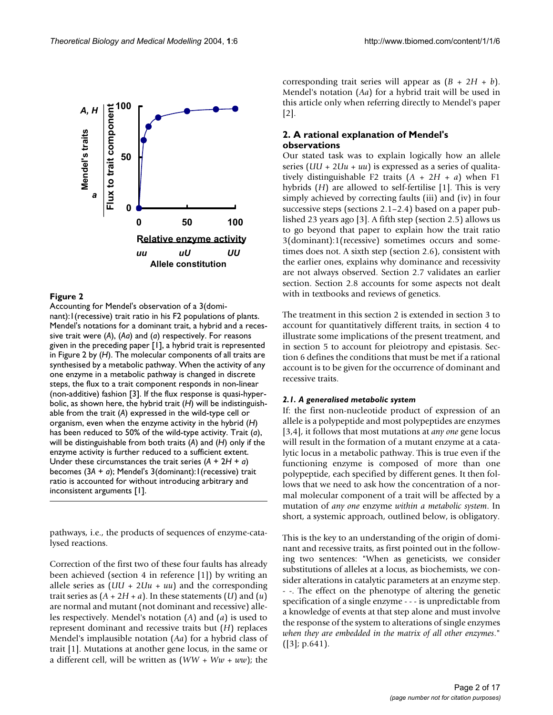<span id="page-1-0"></span>

Accounting for Mendel's observation of a 3(dominant):1(recessive) trait ratio in his F2 populations of plants. Mendel's notations for a dominant trait, a hybrid and a recessive trait were (*A*), (*Aa*) and (*a*) respectively. For reasons given in the preceding paper [1], a hybrid trait is represented in Figure 2 by (*H*). The molecular components of all traits are synthesised by a metabolic pathway. When the activity of any one enzyme in a metabolic pathway is changed in discrete steps, the flux to a trait component responds in non-linear (non-additive) fashion [3]. If the flux response is quasi-hyperbolic, as shown here, the hybrid trait (*H*) will be indistinguishable from the trait (*A*) expressed in the wild-type cell or organism, even when the enzyme activity in the hybrid (*H*) has been reduced to 50% of the wild-type activity. Trait (*a*), will be distinguishable from both traits (*A*) and (*H*) only if the enzyme activity is further reduced to a sufficient extent. Under these circumstances the trait series (*A* + 2*H* + *a*) becomes (3*A* + *a*); Mendel's 3(dominant):1(recessive) trait ratio is accounted for without introducing arbitrary and inconsistent arguments [1].

pathways, i.e., the products of sequences of enzyme-catalysed reactions.

Correction of the first two of these four faults has already been achieved (section 4 in reference [1]) by writing an allele series as (*UU* + 2*Uu* + *uu*) and the corresponding trait series as  $(A + 2H + a)$ . In these statements  $(U)$  and  $(u)$ are normal and mutant (not dominant and recessive) alleles respectively. Mendel's notation (*A*) and (*a*) is used to represent dominant and recessive traits but (*H*) replaces Mendel's implausible notation (*Aa*) for a hybrid class of trait [1]. Mutations at another gene locus, in the same or a different cell, will be written as (*WW* + *Ww* + *ww*); the corresponding trait series will appear as  $(B + 2H + b)$ . Mendel's notation (*Aa*) for a hybrid trait will be used in this article only when referring directly to Mendel's paper  $|2|$ .

## **2. A rational explanation of Mendel's observations**

Our stated task was to explain logically how an allele series (*UU* + 2*Uu* + *uu*) is expressed as a series of qualitatively distinguishable F2 traits  $(A + 2H + a)$  when F1 hybrids (*H*) are allowed to self-fertilise [1]. This is very simply achieved by correcting faults (iii) and (iv) in four successive steps (sections 2.1–2.4) based on a paper published 23 years ago [3]. A fifth step (section 2.5) allows us to go beyond that paper to explain how the trait ratio 3(dominant):1(recessive) sometimes occurs and sometimes does not. A sixth step (section 2.6), consistent with the earlier ones, explains why dominance and recessivity are not always observed. Section 2.7 validates an earlier section. Section 2.8 accounts for some aspects not dealt with in textbooks and reviews of genetics.

The treatment in this section 2 is extended in section 3 to account for quantitatively different traits, in section 4 to illustrate some implications of the present treatment, and in section 5 to account for pleiotropy and epistasis. Section 6 defines the conditions that must be met if a rational account is to be given for the occurrence of dominant and recessive traits.

#### *2.1. A generalised metabolic system*

If: the first non-nucleotide product of expression of an allele is a polypeptide and most polypeptides are enzymes [3,4], it follows that most mutations at *any one* gene locus will result in the formation of a mutant enzyme at a catalytic locus in a metabolic pathway. This is true even if the functioning enzyme is composed of more than one polypeptide, each specified by different genes. It then follows that we need to ask how the concentration of a normal molecular component of a trait will be affected by a mutation of *any one* enzyme *within a metabolic system*. In short, a systemic approach, outlined below, is obligatory.

This is the key to an understanding of the origin of dominant and recessive traits, as first pointed out in the following two sentences: "When as geneticists, we consider substitutions of alleles at a locus, as biochemists, we consider alterations in catalytic parameters at an enzyme step. - -. The effect on the phenotype of altering the genetic specification of a single enzyme - - - is unpredictable from a knowledge of events at that step alone and must involve the response of the system to alterations of single enzymes *when they are embedded in the matrix of all other enzymes*." ([3]; p.641).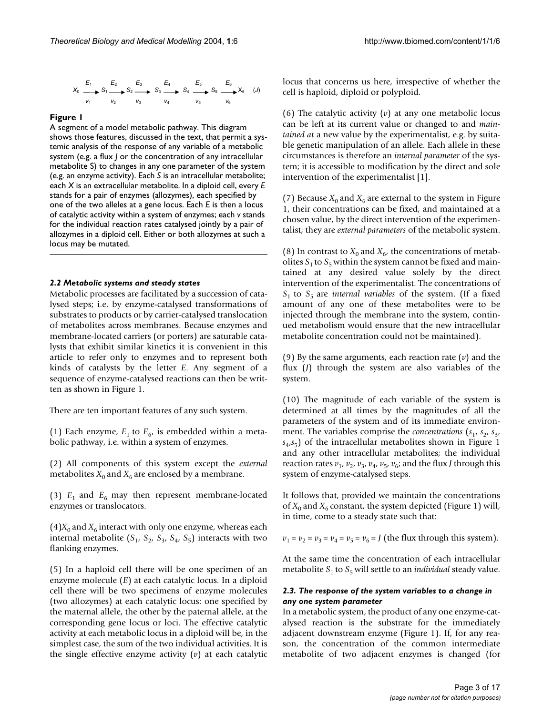$$
X_0 \xrightarrow[V_1]{E_1} S_1 \xrightarrow[V_2]{E_2} S_2 \xrightarrow[V_3]{} S_3 \xrightarrow[V_4]{E_4} S_4 \xrightarrow[V_5]{} S_5 \xrightarrow[V_6]{} X_6 \quad (J)
$$

A segment of a model metabolic pathway. This diagram shows those features, discussed in the text, that permit a systemic analysis of the response of any variable of a metabolic system (e.g. a flux *J* or the concentration of any intracellular metabolite S) to changes in any one parameter of the system (e.g. an enzyme activity). Each *S* is an intracellular metabolite; each *X* is an extracellular metabolite. In a diploid cell, every *E*  stands for a pair of enzymes (allozymes), each specified by one of the two alleles at a gene locus. Each *E* is then a locus of catalytic activity within a system of enzymes; each *v* stands for the individual reaction rates catalysed jointly by a pair of allozymes in a diploid cell. Either or both allozymes at such a locus may be mutated.

#### *2.2 Metabolic systems and steady states*

Metabolic processes are facilitated by a succession of catalysed steps; i.e. by enzyme-catalysed transformations of substrates to products or by carrier-catalysed translocation of metabolites across membranes. Because enzymes and membrane-located carriers (or porters) are saturable catalysts that exhibit similar kinetics it is convenient in this article to refer only to enzymes and to represent both kinds of catalysts by the letter *E*. Any segment of a sequence of enzyme-catalysed reactions can then be written as shown in Figure 1.

There are ten important features of any such system.

(1) Each enzyme,  $E_1$  to  $E_6$ , is embedded within a metabolic pathway, i.e. within a system of enzymes.

(2) All components of this system except the *external* metabolites  $X_0$  and  $X_6$  are enclosed by a membrane.

(3)  $E_1$  and  $E_6$  may then represent membrane-located enzymes or translocators.

 $(4)X_0$  and  $X_6$  interact with only one enzyme, whereas each internal metabolite  $(S_1, S_2, S_3, S_4, S_5)$  interacts with two flanking enzymes.

(5) In a haploid cell there will be one specimen of an enzyme molecule (*E*) at each catalytic locus. In a diploid cell there will be two specimens of enzyme molecules (two allozymes) at each catalytic locus: one specified by the maternal allele, the other by the paternal allele, at the corresponding gene locus or loci. The effective catalytic activity at each metabolic locus in a diploid will be, in the simplest case, the sum of the two individual activities. It is the single effective enzyme activity (*v*) at each catalytic locus that concerns us here, irrespective of whether the cell is haploid, diploid or polyploid.

(6) The catalytic activity (*v*) at any one metabolic locus can be left at its current value or changed to and *maintained at* a new value by the experimentalist, e.g. by suitable genetic manipulation of an allele. Each allele in these circumstances is therefore an *internal parameter* of the system; it is accessible to modification by the direct and sole intervention of the experimentalist [1].

(7) Because  $X_0$  and  $X_6$  are external to the system in Figure 1, their concentrations can be fixed, and maintained at a chosen value, by the direct intervention of the experimentalist; they are *external parameters* of the metabolic system.

(8) In contrast to  $X_0$  and  $X_6$ , the concentrations of metabolites  $S_1$  to  $S_5$  within the system cannot be fixed and maintained at any desired value solely by the direct intervention of the experimentalist. The concentrations of  $S_1$  to  $S_5$  are *internal variables* of the system. (If a fixed amount of any one of these metabolites were to be injected through the membrane into the system, continued metabolism would ensure that the new intracellular metabolite concentration could not be maintained).

(9) By the same arguments, each reaction rate (*v*) and the flux (*J*) through the system are also variables of the system.

(10) The magnitude of each variable of the system is determined at all times by the magnitudes of all the parameters of the system and of its immediate environment. The variables comprise the *concentrations*  $(s_1, s_2, s_3,$  $s_4, s_5$ ) of the intracellular metabolites shown in Figure 1 and any other intracellular metabolites; the individual reaction rates  $v_1$ ,  $v_2$ ,  $v_3$ ,  $v_4$ ,  $v_5$ ,  $v_6$ ; and the flux *J* through this system of enzyme-catalysed steps.

It follows that, provided we maintain the concentrations of  $X_0$  and  $X_6$  constant, the system depicted (Figure 1) will, in time, come to a steady state such that:

 $v_1 = v_2 = v_3 = v_4 = v_5 = v_6 = J$  (the flux through this system).

At the same time the concentration of each intracellular metabolite  $S_1$  to  $S_5$  will settle to an *individual* steady value.

## *2.3. The response of the system variables to a change in any one system parameter*

In a metabolic system, the product of any one enzyme-catalysed reaction is the substrate for the immediately adjacent downstream enzyme (Figure 1). If, for any reason, the concentration of the common intermediate metabolite of two adjacent enzymes is changed (for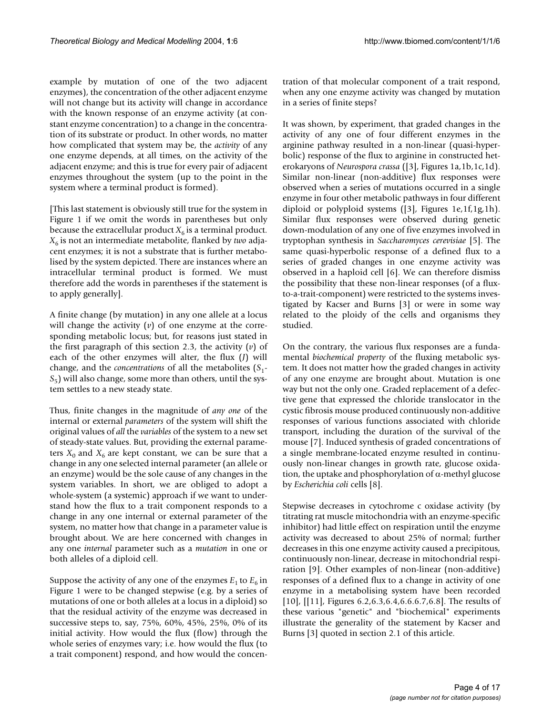example by mutation of one of the two adjacent enzymes), the concentration of the other adjacent enzyme will not change but its activity will change in accordance with the known response of an enzyme activity (at constant enzyme concentration) to a change in the concentration of its substrate or product. In other words, no matter how complicated that system may be, the *activity* of any one enzyme depends, at all times, on the activity of the adjacent enzyme; and this is true for every pair of adjacent enzymes throughout the system (up to the point in the system where a terminal product is formed).

[This last statement is obviously still true for the system in Figure 1 if we omit the words in parentheses but only because the extracellular product  $X_6$  is a terminal product.  $X<sub>6</sub>$  is not an intermediate metabolite, flanked by *two* adjacent enzymes; it is not a substrate that is further metabolised by the system depicted. There are instances where an intracellular terminal product is formed. We must therefore add the words in parentheses if the statement is to apply generally].

A finite change (by mutation) in any one allele at a locus will change the activity (*v*) of one enzyme at the corresponding metabolic locus; but, for reasons just stated in the first paragraph of this section 2.3, the activity (*v*) of each of the other enzymes will alter, the flux (*J*) will change, and the *concentrations* of all the metabolites (*S*1- *S*5) will also change, some more than others, until the system settles to a new steady state.

Thus, finite changes in the magnitude of *any one* of the internal or external *parameters* of the system will shift the original values of *all* the *variables* of the system to a new set of steady-state values. But, providing the external parameters  $X_0$  and  $X_6$  are kept constant, we can be sure that a change in any one selected internal parameter (an allele or an enzyme) would be the sole cause of any changes in the system variables. In short, we are obliged to adopt a whole-system (a systemic) approach if we want to understand how the flux to a trait component responds to a change in any one internal or external parameter of the system, no matter how that change in a parameter value is brought about. We are here concerned with changes in any one *internal* parameter such as a *mutation* in one or both alleles of a diploid cell.

Suppose the activity of any one of the enzymes  $E_1$  to  $E_6$  in Figure 1 were to be changed stepwise (e.g. by a series of mutations of one or both alleles at a locus in a diploid) so that the residual activity of the enzyme was decreased in successive steps to, say, 75%, 60%, 45%, 25%, 0% of its initial activity. How would the flux (flow) through the whole series of enzymes vary; i.e. how would the flux (to a trait component) respond, and how would the concentration of that molecular component of a trait respond, when any one enzyme activity was changed by mutation in a series of finite steps?

It was shown, by experiment, that graded changes in the activity of any one of four different enzymes in the arginine pathway resulted in a non-linear (quasi-hyperbolic) response of the flux to arginine in constructed heterokaryons of *Neurospora crassa* ([3], Figures 1a,1b,1c,1d). Similar non-linear (non-additive) flux responses were observed when a series of mutations occurred in a single enzyme in four other metabolic pathways in four different diploid or polyploid systems ([3], Figures 1e,1f,1g,1h). Similar flux responses were observed during genetic down-modulation of any one of five enzymes involved in tryptophan synthesis in *Saccharomyces cerevisiae* [\[5\]](#page-15-0). The same quasi-hyperbolic response of a defined flux to a series of graded changes in one enzyme activity was observed in a haploid cell [6]. We can therefore dismiss the possibility that these non-linear responses (of a fluxto-a-trait-component) were restricted to the systems investigated by Kacser and Burns [3] or were in some way related to the ploidy of the cells and organisms they studied.

On the contrary, the various flux responses are a fundamental *biochemical property* of the fluxing metabolic system. It does not matter how the graded changes in activity of any one enzyme are brought about. Mutation is one way but not the only one. Graded replacement of a defective gene that expressed the chloride translocator in the cystic fibrosis mouse produced continuously non-additive responses of various functions associated with chloride transport, including the duration of the survival of the mouse [7]. Induced synthesis of graded concentrations of a single membrane-located enzyme resulted in continuously non-linear changes in growth rate, glucose oxidation, the uptake and phosphorylation of  $\alpha$ -methyl glucose by *Escherichia coli* cells [8].

Stepwise decreases in cytochrome c oxidase activity (by titrating rat muscle mitochondria with an enzyme-specific inhibitor) had little effect on respiration until the enzyme activity was decreased to about 25% of normal; further decreases in this one enzyme activity caused a precipitous, continuously non-linear, decrease in mitochondrial respiration [9]. Other examples of non-linear (non-additive) responses of a defined flux to a change in activity of one enzyme in a metabolising system have been recorded [10], [[11], Figures [6.](#page-4-0)2, 6.3, 6.4, 6.6. 6.7, 6.8]. The results of these various "genetic" and "biochemical" experiments illustrate the generality of the statement by Kacser and Burns [3] quoted in section 2.1 of this article.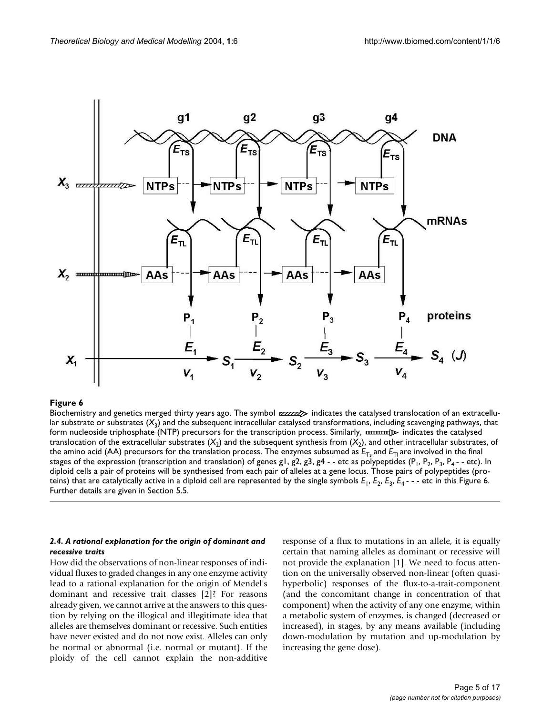<span id="page-4-0"></span>

Biochemistry and genetics merged thirty years ago. The symbol  $zzzzz$  indicates the catalysed translocation of an extracellular substrate or substrates  $(X_3)$  and the subsequent intracellular catalysed transformations, including scavenging pathways, that form nucleoside triphosphate (NTP) precursors for the transcription process. Similarly, manumal indicates the catalysed translocation of the extracellular substrates  $(X_2)$  and the subsequent synthesis from  $(X_2)$ , and other intracellular substrates, of the amino acid (AA) precursors for the translation process. The enzymes subsumed as  $E_{Ts}$  and  $E_{T1}$  are involved in the final stages of the expression (transcription and translation) of genes g1, g2, g3, g4 - - etc as polypeptides ( $P_1$ ,  $P_2$ ,  $P_3$ ,  $P_4$  - - etc). In diploid cells a pair of proteins will be synthesised from each pair of alleles at a gene locus. Those pairs of polypeptides (proteins) that are catalytically active in a diploid cell are represented by the single symbols  $E_1$ ,  $E_2$ ,  $E_3$ ,  $E_4$ ---etc in this Figure 6. Further details are given in Section 5.5.

## *2.4. A rational explanation for the origin of dominant and recessive traits*

How did the observations of non-linear responses of individual fluxes to graded changes in any one enzyme activity lead to a rational explanation for the origin of Mendel's dominant and recessive trait classes [2]? For reasons already given, we cannot arrive at the answers to this question by relying on the illogical and illegitimate idea that alleles are themselves dominant or recessive. Such entities have never existed and do not now exist. Alleles can only be normal or abnormal (i.e. normal or mutant). If the ploidy of the cell cannot explain the non-additive

response of a flux to mutations in an allele, it is equally certain that naming alleles as dominant or recessive will not provide the explanation [1]. We need to focus attention on the universally observed non-linear (often quasihyperbolic) responses of the flux-to-a-trait-component (and the concomitant change in concentration of that component) when the activity of any one enzyme, within a metabolic system of enzymes, is changed (decreased or increased), in stages, by any means available (including down-modulation by mutation and up-modulation by increasing the gene dose).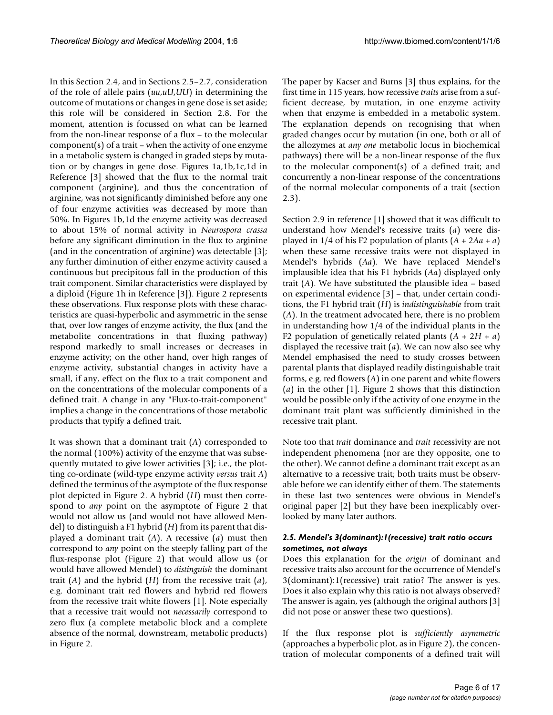In this Section 2.4, and in Sections 2.5–2.7, consideration of the role of allele pairs (*uu*,*uU*,*UU*) in determining the outcome of mutations or changes in gene dose is set aside; this role will be considered in Section 2.8. For the moment, attention is focussed on what can be learned from the non-linear response of a flux – to the molecular component(s) of a trait – when the activity of one enzyme in a metabolic system is changed in graded steps by mutation or by changes in gene dose. Figures 1a,1b,1c,1d in Reference [3] showed that the flux to the normal trait component (arginine), and thus the concentration of arginine, was not significantly diminished before any one of four enzyme activities was decreased by more than 50%. In Figures 1b,1d the enzyme activity was decreased to about 15% of normal activity in *Neurospora crassa* before any significant diminution in the flux to arginine (and in the concentration of arginine) was detectable [3]; any further diminution of either enzyme activity caused a continuous but precipitous fall in the production of this trait component. Similar characteristics were displayed by a diploid (Figure 1h in Reference [3]). Figure [2](#page-1-0) represents these observations. Flux response plots with these characteristics are quasi-hyperbolic and asymmetric in the sense that, over low ranges of enzyme activity, the flux (and the metabolite concentrations in that fluxing pathway) respond markedly to small increases or decreases in enzyme activity; on the other hand, over high ranges of enzyme activity, substantial changes in activity have a small, if any, effect on the flux to a trait component and on the concentrations of the molecular components of a defined trait. A change in any "Flux-to-trait-component" implies a change in the concentrations of those metabolic products that typify a defined trait.

It was shown that a dominant trait (*A*) corresponded to the normal (100%) activity of the enzyme that was subsequently mutated to give lower activities [3]; i.e., the plotting co-ordinate (wild-type enzyme activity *versus* trait *A*) defined the terminus of the asymptote of the flux response plot depicted in Figure [2.](#page-1-0) A hybrid (*H*) must then correspond to *any* point on the asymptote of Figure [2](#page-1-0) that would not allow us (and would not have allowed Mendel) to distinguish a F1 hybrid (*H*) from its parent that displayed a dominant trait (*A*). A recessive (*a*) must then correspond to *any* point on the steeply falling part of the flux-response plot (Figure [2](#page-1-0)) that would allow us (or would have allowed Mendel) to *distinguish* the dominant trait (*A*) and the hybrid (*H*) from the recessive trait (*a*), e.g. dominant trait red flowers and hybrid red flowers from the recessive trait white flowers [1]. Note especially that a recessive trait would not *necessarily* correspond to zero flux (a complete metabolic block and a complete absence of the normal, downstream, metabolic products) in Figure [2](#page-1-0).

The paper by Kacser and Burns [3] thus explains, for the first time in 115 years, how recessive *traits* arise from a sufficient decrease, by mutation, in one enzyme activity when that enzyme is embedded in a metabolic system. The explanation depends on recognising that when graded changes occur by mutation (in one, both or all of the allozymes at *any one* metabolic locus in biochemical pathways) there will be a non-linear response of the flux to the molecular component(s) of a defined trait; and concurrently a non-linear response of the concentrations of the normal molecular components of a trait (section 2.3).

Section 2.9 in reference [1] showed that it was difficult to understand how Mendel's recessive traits (*a*) were displayed in  $1/4$  of his F2 population of plants  $(A + 2Aa + a)$ when these same recessive traits were not displayed in Mendel's hybrids (*Aa*). We have replaced Mendel's implausible idea that his F1 hybrids (*Aa*) displayed only trait (*A*). We have substituted the plausible idea – based on experimental evidence [3] – that, under certain conditions, the F1 hybrid trait (*H*) is *indistinguishable* from trait (*A*). In the treatment advocated here, there is no problem in understanding how 1/4 of the individual plants in the F2 population of genetically related plants (*A* + 2*H* + *a*) displayed the recessive trait (*a*). We can now also see why Mendel emphasised the need to study crosses between parental plants that displayed readily distinguishable trait forms, e.g. red flowers (*A*) in one parent and white flowers (*a*) in the other [1]. Figure [2](#page-1-0) shows that this distinction would be possible only if the activity of one enzyme in the dominant trait plant was sufficiently diminished in the recessive trait plant.

Note too that *trait* dominance and *trait* recessivity are not independent phenomena (nor are they opposite, one to the other). We cannot define a dominant trait except as an alternative to a recessive trait; both traits must be observable before we can identify either of them. The statements in these last two sentences were obvious in Mendel's original paper [2] but they have been inexplicably overlooked by many later authors.

## *2.5. Mendel's 3(dominant):1(recessive) trait ratio occurs sometimes, not always*

Does this explanation for the *origin* of dominant and recessive traits also account for the occurrence of Mendel's 3(dominant):1(recessive) trait ratio? The answer is yes. Does it also explain why this ratio is not always observed? The answer is again, yes (although the original authors [3] did not pose or answer these two questions).

If the flux response plot is *sufficiently asymmetric* (approaches a hyperbolic plot, as in Figure [2](#page-1-0)), the concentration of molecular components of a defined trait will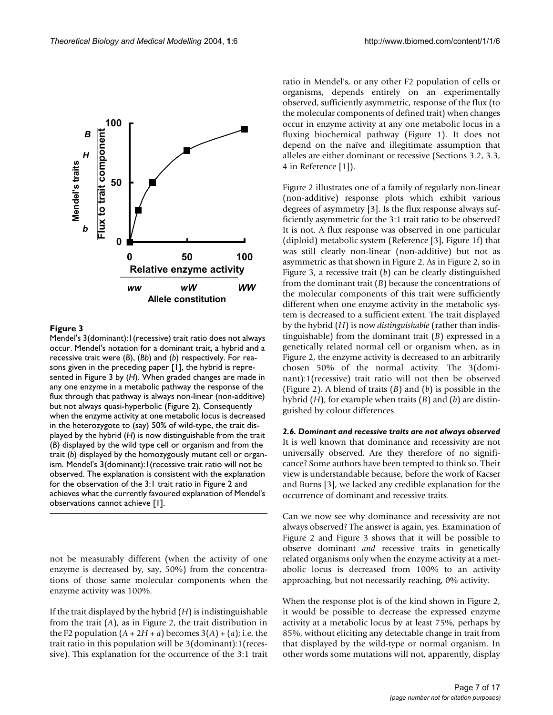

Mendel's 3(dominant):1(recessive) trait ratio does not always occur. Mendel's notation for a dominant trait, a hybrid and a recessive trait were (*B*), (*Bb*) and (*b*) respectively. For reasons given in the preceding paper [1], the hybrid is represented in Figure 3 by (*H*). When graded changes are made in any one enzyme in a metabolic pathway the response of the flux through that pathway is always non-linear (non-additive) but not always quasi-hyperbolic (Figure 2). Consequently when the enzyme activity at one metabolic locus is decreased in the heterozygote to (say) 50% of wild-type, the trait displayed by the hybrid (*H*) is now distinguishable from the trait (*B*) displayed by the wild type cell or organism and from the trait (*b*) displayed by the homozygously mutant cell or organism. Mendel's 3(dominant):1(recessive trait ratio will not be observed. The explanation is consistent with the explanation for the observation of the 3:1 trait ratio in Figure 2 and achieves what the currently favoured explanation of Mendel's observations cannot achieve [1].

not be measurably different (when the activity of one enzyme is decreased by, say, 50%) from the concentrations of those same molecular components when the enzyme activity was 100%.

If the trait displayed by the hybrid (*H*) is indistinguishable from the trait (*A*), as in Figure [2](#page-1-0), the trait distribution in the F2 population  $(A + 2H + a)$  becomes  $3(A) + (a)$ ; i.e. the trait ratio in this population will be 3(dominant):1(recessive). This explanation for the occurrence of the 3:1 trait ratio in Mendel's, or any other F2 population of cells or organisms, depends entirely on an experimentally observed, sufficiently asymmetric, response of the flux (to the molecular components of defined trait) when changes occur in enzyme activity at any one metabolic locus in a fluxing biochemical pathway (Figure 1). It does not depend on the naïve and illegitimate assumption that alleles are either dominant or recessive (Sections 3.2, 3.3, 4 in Reference [1]).

Figure [2](#page-1-0) illustrates one of a family of regularly non-linear (non-additive) response plots which exhibit various degrees of asymmetry [3]. Is the flux response always sufficiently asymmetric for the 3:1 trait ratio to be observed? It is not. A flux response was observed in one particular (diploid) metabolic system (Reference [3], Figure 1f) that was still clearly non-linear (non-additive) but not as asymmetric as that shown in Figure [2.](#page-1-0) As in Figure [2](#page-1-0), so in Figure 3, a recessive trait (*b*) can be clearly distinguished from the dominant trait (*B*) because the concentrations of the molecular components of this trait were sufficiently different when one enzyme activity in the metabolic system is decreased to a sufficient extent. The trait displayed by the hybrid (*H*) is now *distinguishable* (rather than indistinguishable) from the dominant trait (*B*) expressed in a genetically related normal cell or organism when, as in Figure [2,](#page-1-0) the enzyme activity is decreased to an arbitrarily chosen 50% of the normal activity. The 3(dominant):1(recessive) trait ratio will not then be observed (Figure [2](#page-1-0)). A blend of traits (*B*) and (*b*) is possible in the hybrid (*H*), for example when traits (*B*) and (*b*) are distinguished by colour differences.

*2.6. Dominant and recessive traits are not always observed* It is well known that dominance and recessivity are not universally observed. Are they therefore of no significance? Some authors have been tempted to think so. Their view is understandable because, before the work of Kacser and Burns [3], we lacked any credible explanation for the occurrence of dominant and recessive traits.

Can we now see why dominance and recessivity are not always observed? The answer is again, yes. Examination of Figure [2](#page-1-0) and Figure 3 shows that it will be possible to observe dominant *and* recessive traits in genetically related organisms only when the enzyme activity at a metabolic locus is decreased from 100% to an activity approaching, but not necessarily reaching, 0% activity.

When the response plot is of the kind shown in Figure [2,](#page-1-0) it would be possible to decrease the expressed enzyme activity at a metabolic locus by at least 75%, perhaps by 85%, without eliciting any detectable change in trait from that displayed by the wild-type or normal organism. In other words some mutations will not, apparently, display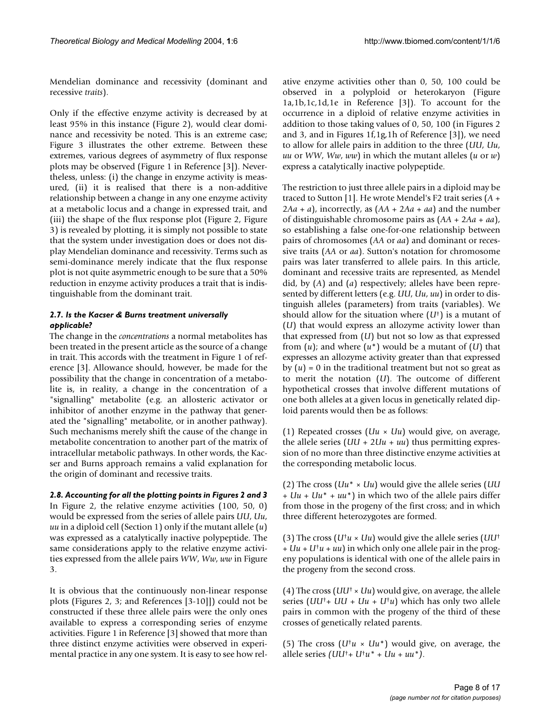Mendelian dominance and recessivity (dominant and recessive *traits*).

Only if the effective enzyme activity is decreased by at least 95% in this instance (Figure [2](#page-1-0)), would clear dominance and recessivity be noted. This is an extreme case; Figure 3 illustrates the other extreme. Between these extremes, various degrees of asymmetry of flux response plots may be observed (Figure 1 in Reference [3]). Nevertheless, unless: (i) the change in enzyme activity is measured, (ii) it is realised that there is a non-additive relationship between a change in any one enzyme activity at a metabolic locus and a change in expressed trait, and (iii) the shape of the flux response plot (Figure [2,](#page-1-0) Figure 3) is revealed by plotting, it is simply not possible to state that the system under investigation does or does not display Mendelian dominance and recessivity. Terms such as semi-dominance merely indicate that the flux response plot is not quite asymmetric enough to be sure that a 50% reduction in enzyme activity produces a trait that is indistinguishable from the dominant trait.

# *2.7. Is the Kacser & Burns treatment universally applicable?*

The change in the *concentrations* a normal metabolites has been treated in the present article as the source of a change in trait. This accords with the treatment in Figure 1 of reference [3]. Allowance should, however, be made for the possibility that the change in concentration of a metabolite is, in reality, a change in the concentration of a "signalling" metabolite (e.g. an allosteric activator or inhibitor of another enzyme in the pathway that generated the "signalling" metabolite, or in another pathway). Such mechanisms merely shift the cause of the change in metabolite concentration to another part of the matrix of intracellular metabolic pathways. In other words, the Kacser and Burns approach remains a valid explanation for the origin of dominant and recessive traits.

*2.8. Accounting for all the plotting points in Figures [2](#page-1-0) and 3* In Figure [2](#page-1-0), the relative enzyme activities (100, 50, 0) would be expressed from the series of allele pairs *UU*, *Uu*, *uu* in a diploid cell (Section 1) only if the mutant allele (*u*) was expressed as a catalytically inactive polypeptide. The same considerations apply to the relative enzyme activities expressed from the allele pairs *WW*, *Ww*, *ww* in Figure 3.

It is obvious that the continuously non-linear response plots (Figures [2](#page-1-0), 3; and References [3-10]]) could not be constructed if these three allele pairs were the only ones available to express a corresponding series of enzyme activities. Figure 1 in Reference [3] showed that more than three distinct enzyme activities were observed in experimental practice in any one system. It is easy to see how relative enzyme activities other than 0, 50, 100 could be observed in a polyploid or heterokaryon (Figure 1a,1b,1c,1d,1e in Reference [3]). To account for the occurrence in a diploid of relative enzyme activities in addition to those taking values of 0, 50, 100 (in Figures [2](#page-1-0) and 3, and in Figures 1f,1g,1h of Reference [3]), we need to allow for allele pairs in addition to the three (*UU*, *Uu*, *uu* or *WW*, *Ww*, *ww*) in which the mutant alleles (*u* or *w*) express a catalytically inactive polypeptide.

The restriction to just three allele pairs in a diploid may be traced to Sutton [1]. He wrote Mendel's F2 trait series (*A* +  $2Aa + a$ , incorrectly, as  $(AA + 2Aa + aa)$  and the number of distinguishable chromosome pairs as (*AA* + 2*Aa* + *aa*), so establishing a false one-for-one relationship between pairs of chromosomes (*AA* or *aa*) and dominant or recessive traits (*AA* or *aa*). Sutton's notation for chromosome pairs was later transferred to allele pairs. In this article, dominant and recessive traits are represented, as Mendel did, by (*A*) and (*a*) respectively; alleles have been represented by different letters (e.g. *UU*, *Uu*, *uu*) in order to distinguish alleles (parameters) from traits (variables). We should allow for the situation where (*U*†) is a mutant of (*U*) that would express an allozyme activity lower than that expressed from (*U*) but not so low as that expressed from (*u*); and where (*u*\*) would be a mutant of (*U*) that expresses an allozyme activity greater than that expressed by  $(u) = 0$  in the traditional treatment but not so great as to merit the notation (*U*). The outcome of different hypothetical crosses that involve different mutations of one both alleles at a given locus in genetically related diploid parents would then be as follows:

(1) Repeated crosses (*Uu* × *Uu*) would give, on average, the allele series  $(UU + 2Uu + uu)$  thus permitting expression of no more than three distinctive enzyme activities at the corresponding metabolic locus.

(2) The cross (*Uu*\* × *Uu*) would give the allele series (*UU* + *Uu* + *Uu*\* + *uu*\*) in which two of the allele pairs differ from those in the progeny of the first cross; and in which three different heterozygotes are formed.

(3) The cross ( $U^{\dagger}u \times Uu$ ) would give the allele series ( $UU^{\dagger}$  $+ Uu + U^{\dagger}u + uu$  in which only one allele pair in the progeny populations is identical with one of the allele pairs in the progeny from the second cross.

(4) The cross (*UU*† × *Uu*) would give, on average, the allele series (*UU*†+ *UU* + *Uu* + *U*†*u*) which has only two allele pairs in common with the progeny of the third of these crosses of genetically related parents.

(5) The cross  $(U^{\dagger}u \times U^{\dagger}u^*)$  would give, on average, the allele series *(UU*†*+ U*†*u\* + Uu + uu\*)*.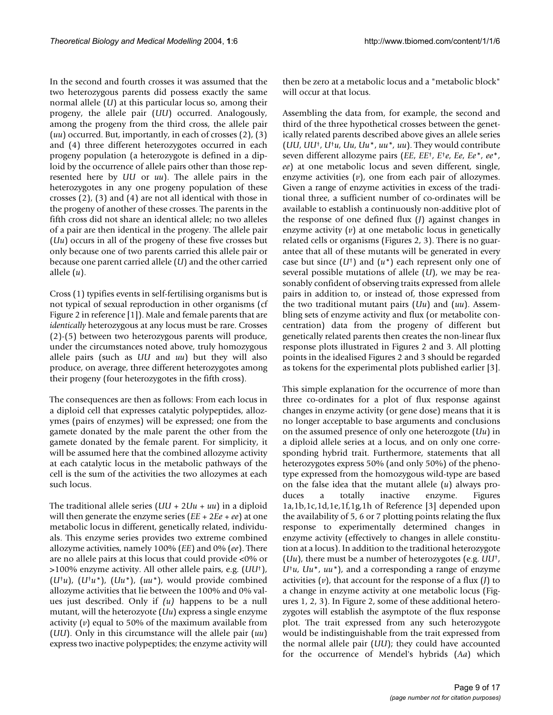In the second and fourth crosses it was assumed that the two heterozygous parents did possess exactly the same normal allele (*U*) at this particular locus so, among their progeny, the allele pair (*UU*) occurred. Analogously, among the progeny from the third cross, the allele pair (*uu*) occurred. But, importantly, in each of crosses (2), (3) and (4) three different heterozygotes occurred in each progeny population (a heterozygote is defined in a diploid by the occurrence of allele pairs other than those represented here by *UU* or *uu*). The allele pairs in the heterozygotes in any one progeny population of these crosses (2), (3) and (4) are not all identical with those in the progeny of another of these crosses. The parents in the fifth cross did not share an identical allele; no two alleles of a pair are then identical in the progeny. The allele pair (*Uu*) occurs in all of the progeny of these five crosses but only because one of two parents carried this allele pair or because one parent carried allele (*U*) and the other carried allele (*u*).

Cross (1) typifies events in self-fertilising organisms but is not typical of sexual reproduction in other organisms (cf Figure [2](#page-1-0) in reference [1]). Male and female parents that are *identically* heterozygous at any locus must be rare. Crosses (2)-(5) between two heterozygous parents will produce, under the circumstances noted above, truly homozygous allele pairs (such as *UU* and *uu*) but they will also produce, on average, three different heterozygotes among their progeny (four heterozygotes in the fifth cross).

The consequences are then as follows: From each locus in a diploid cell that expresses catalytic polypeptides, allozymes (pairs of enzymes) will be expressed; one from the gamete donated by the male parent the other from the gamete donated by the female parent. For simplicity, it will be assumed here that the combined allozyme activity at each catalytic locus in the metabolic pathways of the cell is the sum of the activities the two allozymes at each such locus.

The traditional allele series (*UU* + 2*Uu* + *uu*) in a diploid will then generate the enzyme series (*EE* + 2*Ee* + *ee*) at one metabolic locus in different, genetically related, individuals. This enzyme series provides two extreme combined allozyme activities, namely 100% (*EE*) and 0% (*ee*). There are no allele pairs at this locus that could provide <0% or >100% enzyme activity. All other allele pairs, e.g. (*UU*†), (*U*†*u*), (*U*†*u\**), (*Uu\**), (*uu\**), would provide combined allozyme activities that lie between the 100% and 0% values just described. Only if *(u)* happens to be a null mutant, will the heterozyote (*Uu*) express a single enzyme activity (*v*) equal to 50% of the maximum available from (*UU*). Only in this circumstance will the allele pair (*uu*) express two inactive polypeptides; the enzyme activity will

then be zero at a metabolic locus and a "metabolic block" will occur at that locus.

Assembling the data from, for example, the second and third of the three hypothetical crosses between the genetically related parents described above gives an allele series (*UU*, *UU*†, *U*†*u*, *Uu*, *Uu*\*, *uu\*, uu*). They would contribute seven different allozyme pairs (*EE*, *EE*†, *E*†*e*, *Ee*, *Ee\**, *ee*\*, *ee*) at one metabolic locus and seven different, single, enzyme activities (*v*), one from each pair of allozymes. Given a range of enzyme activities in excess of the traditional three, a sufficient number of co-ordinates will be available to establish a continuously non-additive plot of the response of one defined flux (*J*) against changes in enzyme activity (*v*) at one metabolic locus in genetically related cells or organisms (Figures [2,](#page-1-0) 3). There is no guarantee that all of these mutants will be generated in every case but since (*U*†) and (*u\**) each represent only one of several possible mutations of allele (*U*), we may be reasonably confident of observing traits expressed from allele pairs in addition to, or instead of, those expressed from the two traditional mutant pairs (*Uu*) and (*uu*). Assembling sets of enzyme activity and flux (or metabolite concentration) data from the progeny of different but genetically related parents then creates the non-linear flux response plots illustrated in Figures [2](#page-1-0) and 3. All plotting points in the idealised Figures [2](#page-1-0) and 3 should be regarded as tokens for the experimental plots published earlier [3].

This simple explanation for the occurrence of more than three co-ordinates for a plot of flux response against changes in enzyme activity (or gene dose) means that it is no longer acceptable to base arguments and conclusions on the assumed presence of only one heterozgote (*Uu*) in a diploid allele series at a locus, and on only one corresponding hybrid trait. Furthermore, statements that all heterozygotes express 50% (and only 50%) of the phenotype expressed from the homozygous wild-type are based on the false idea that the mutant allele (*u*) always produces a totally inactive enzyme. Figures 1a,1b,1c,1d,1e,1f,1g,1h of Reference [3] depended upon the availability of 5, 6 or 7 plotting points relating the flux response to experimentally determined changes in enzyme activity (effectively to changes in allele constitution at a locus). In addition to the traditional heterozygote (*Uu*), there must be a number of heterozygotes (e.g. *UU*†, *U*†*u*, *Uu*\*, *uu\**), and a corresponding a range of enzyme activities (*v*), that account for the response of a flux (*J*) to a change in enzyme activity at one metabolic locus (Figures 1, [2,](#page-1-0) 3). In Figure [2](#page-1-0), some of these additional heterozygotes will establish the asymptote of the flux response plot. The trait expressed from any such heterozygote would be indistinguishable from the trait expressed from the normal allele pair (*UU*); they could have accounted for the occurrence of Mendel's hybrids (*Aa*) which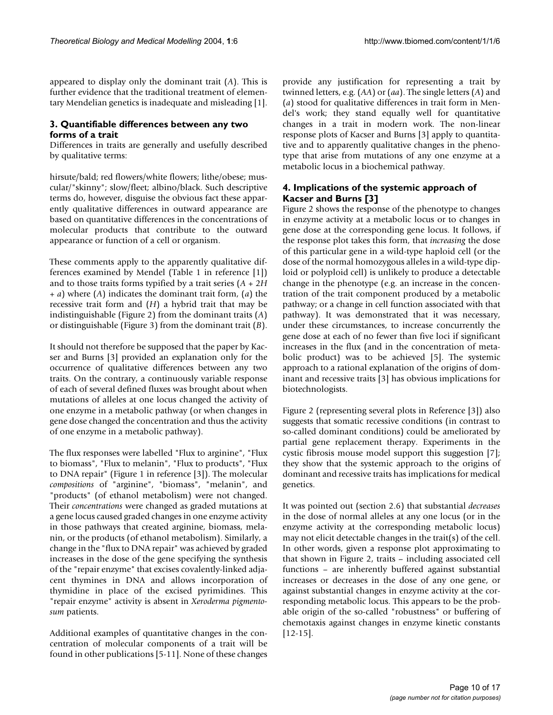appeared to display only the dominant trait (*A*). This is further evidence that the traditional treatment of elementary Mendelian genetics is inadequate and misleading [1].

# **3. Quantifiable differences between any two forms of a trait**

Differences in traits are generally and usefully described by qualitative terms:

hirsute/bald; red flowers/white flowers; lithe/obese; muscular/"skinny"; slow/fleet; albino/black. Such descriptive terms do, however, disguise the obvious fact these apparently qualitative differences in outward appearance are based on quantitative differences in the concentrations of molecular products that contribute to the outward appearance or function of a cell or organism.

These comments apply to the apparently qualitative differences examined by Mendel (Table 1 in reference [1]) and to those traits forms typified by a trait series (*A* + 2*H* + *a*) where (*A*) indicates the dominant trait form, (*a*) the recessive trait form and (*H*) a hybrid trait that may be indistinguishable (Figure [2](#page-1-0)) from the dominant traits (*A*) or distinguishable (Figure 3) from the dominant trait (*B*).

It should not therefore be supposed that the paper by Kacser and Burns [3] provided an explanation only for the occurrence of qualitative differences between any two traits. On the contrary, a continuously variable response of each of several defined fluxes was brought about when mutations of alleles at one locus changed the activity of one enzyme in a metabolic pathway (or when changes in gene dose changed the concentration and thus the activity of one enzyme in a metabolic pathway).

The flux responses were labelled "Flux to arginine", "Flux to biomass", "Flux to melanin", "Flux to products", "Flux to DNA repair" (Figure 1 in reference [3]). The molecular *compositions* of "arginine", "biomass", "melanin", and "products" (of ethanol metabolism) were not changed. Their *concentrations* were changed as graded mutations at a gene locus caused graded changes in one enzyme activity in those pathways that created arginine, biomass, melanin, or the products (of ethanol metabolism). Similarly, a change in the "flux to DNA repair" was achieved by graded increases in the dose of the gene specifying the synthesis of the "repair enzyme" that excises covalently-linked adjacent thymines in DNA and allows incorporation of thymidine in place of the excised pyrimidines. This "repair enzyme" activity is absent in *Xeroderma pigmentosum* patients.

Additional examples of quantitative changes in the concentration of molecular components of a trait will be found in other publications [[5](#page-15-0)-11]. None of these changes provide any justification for representing a trait by twinned letters, e.g. (*AA*) or (*aa*). The single letters (*A*) and (*a*) stood for qualitative differences in trait form in Mendel's work; they stand equally well for quantitative changes in a trait in modern work. The non-linear response plots of Kacser and Burns [3] apply to quantitative and to apparently qualitative changes in the phenotype that arise from mutations of any one enzyme at a metabolic locus in a biochemical pathway.

# **4. Implications of the systemic approach of Kacser and Burns [3]**

Figure [2](#page-1-0) shows the response of the phenotype to changes in enzyme activity at a metabolic locus or to changes in gene dose at the corresponding gene locus. It follows, if the response plot takes this form, that *increasing* the dose of this particular gene in a wild-type haploid cell (or the dose of the normal homozygous alleles in a wild-type diploid or polyploid cell) is unlikely to produce a detectable change in the phenotype (e.g. an increase in the concentration of the trait component produced by a metabolic pathway; or a change in cell function associated with that pathway). It was demonstrated that it was necessary, under these circumstances, to increase concurrently the gene dose at each of no fewer than five loci if significant increases in the flux (and in the concentration of metabolic product) was to be achieved [\[5\]](#page-15-0). The systemic approach to a rational explanation of the origins of dominant and recessive traits [3] has obvious implications for biotechnologists.

Figure [2](#page-1-0) (representing several plots in Reference [3]) also suggests that somatic recessive conditions (in contrast to so-called dominant conditions) could be ameliorated by partial gene replacement therapy. Experiments in the cystic fibrosis mouse model support this suggestion [7]; they show that the systemic approach to the origins of dominant and recessive traits has implications for medical genetics.

It was pointed out (section 2.6) that substantial *decreases* in the dose of normal alleles at any one locus (or in the enzyme activity at the corresponding metabolic locus) may not elicit detectable changes in the trait(s) of the cell. In other words, given a response plot approximating to that shown in Figure [2](#page-1-0), traits – including associated cell functions – are inherently buffered against substantial increases or decreases in the dose of any one gene, or against substantial changes in enzyme activity at the corresponding metabolic locus. This appears to be the probable origin of the so-called "robustness" or buffering of chemotaxis against changes in enzyme kinetic constants [12-15].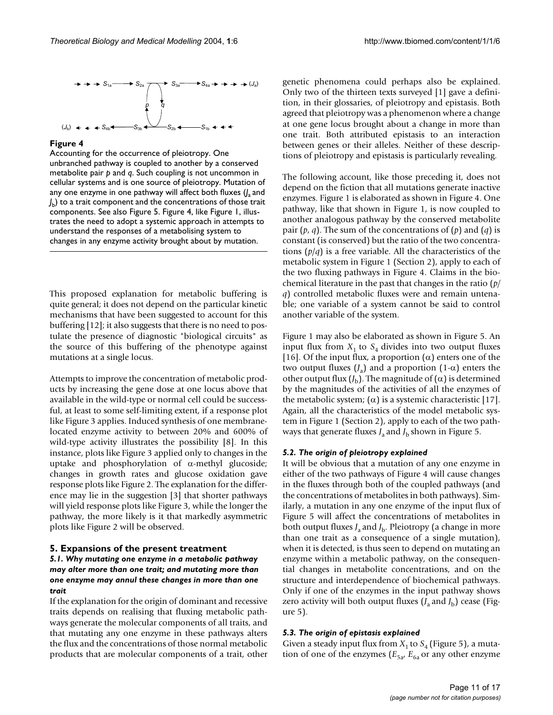

Accounting for the occurrence of pleiotropy. One unbranched pathway is coupled to another by a conserved metabolite pair *p* and *q*. Such coupling is not uncommon in cellular systems and is one source of pleiotropy. Mutation of any one enzyme in one pathway will affect both fluxes (*J* a and *J* b) to a trait component and the concentrations of those trait components. See also Figure 5. Figure 4, like Figure 1, illustrates the need to adopt a systemic approach in attempts to understand the responses of a metabolising system to changes in any enzyme activity brought about by mutation.

This proposed explanation for metabolic buffering is quite general; it does not depend on the particular kinetic mechanisms that have been suggested to account for this buffering [12]; it also suggests that there is no need to postulate the presence of diagnostic "biological circuits" as the source of this buffering of the phenotype against mutations at a single locus.

Attempts to improve the concentration of metabolic products by increasing the gene dose at one locus above that available in the wild-type or normal cell could be successful, at least to some self-limiting extent, if a response plot like Figure 3 applies. Induced synthesis of one membranelocated enzyme activity to between 20% and 600% of wild-type activity illustrates the possibility [8]. In this instance, plots like Figure 3 applied only to changes in the uptake and phosphorylation of  $\alpha$ -methyl glucoside; changes in growth rates and glucose oxidation gave response plots like Figure [2](#page-1-0). The explanation for the difference may lie in the suggestion [3] that shorter pathways will yield response plots like Figure 3, while the longer the pathway, the more likely is it that markedly asymmetric plots like Figure [2](#page-1-0) will be observed.

## **5. Expansions of the present treatment** *5.1. Why mutating one enzyme in a metabolic pathway may alter more than one trait; and mutating more than one enzyme may annul these changes in more than one trait*

If the explanation for the origin of dominant and recessive traits depends on realising that fluxing metabolic pathways generate the molecular components of all traits, and that mutating any one enzyme in these pathways alters the flux and the concentrations of those normal metabolic products that are molecular components of a trait, other

genetic phenomena could perhaps also be explained. Only two of the thirteen texts surveyed [1] gave a definition, in their glossaries, of pleiotropy and epistasis. Both agreed that pleiotropy was a phenomenon where a change at one gene locus brought about a change in more than one trait. Both attributed epistasis to an interaction between genes or their alleles. Neither of these descriptions of pleiotropy and epistasis is particularly revealing.

The following account, like those preceding it, does not depend on the fiction that all mutations generate inactive enzymes. Figure 1 is elaborated as shown in Figure 4. One pathway, like that shown in Figure 1, is now coupled to another analogous pathway by the conserved metabolite pair  $(p, q)$ . The sum of the concentrations of  $(p)$  and  $(q)$  is constant (is conserved) but the ratio of the two concentrations (*p*/*q*) is a free variable. All the characteristics of the metabolic system in Figure 1 (Section 2), apply to each of the two fluxing pathways in Figure 4. Claims in the biochemical literature in the past that changes in the ratio (*p/ q*) controlled metabolic fluxes were and remain untenable; one variable of a system cannot be said to control another variable of the system.

Figure 1 may also be elaborated as shown in Figure 5. An input flux from  $X_1$  to  $S_4$  divides into two output fluxes [16]. Of the input flux, a proportion  $(\alpha)$  enters one of the two output fluxes  $(J_a)$  and a proportion (1-α) enters the other output flux  $(J_b)$ . The magnitude of  $(α)$  is determined by the magnitudes of the activities of all the enzymes of the metabolic system; ( $\alpha$ ) is a systemic characteristic [17]. Again, all the characteristics of the model metabolic system in Figure 1 (Section 2), apply to each of the two pathways that generate fluxes  $J_a$  and  $J_b$  shown in Figure 5.

## *5.2. The origin of pleiotropy explained*

It will be obvious that a mutation of any one enzyme in either of the two pathways of Figure 4 will cause changes in the fluxes through both of the coupled pathways (and the concentrations of metabolites in both pathways). Similarly, a mutation in any one enzyme of the input flux of Figure 5 will affect the concentrations of metabolites in both output fluxes  $J_a$  and  $J_b$ . Pleiotropy (a change in more than one trait as a consequence of a single mutation), when it is detected, is thus seen to depend on mutating an enzyme within a metabolic pathway, on the consequential changes in metabolite concentrations, and on the structure and interdependence of biochemical pathways. Only if one of the enzymes in the input pathway shows zero activity will both output fluxes  $(J_a$  and  $J_b$ ) cease (Figure 5).

## *5.3. The origin of epistasis explained*

Given a steady input flux from  $X_1$  to  $S_4$  (Figure 5), a mutation of one of the enzymes  $(E_{5a}, E_{6a})$  or any other enzyme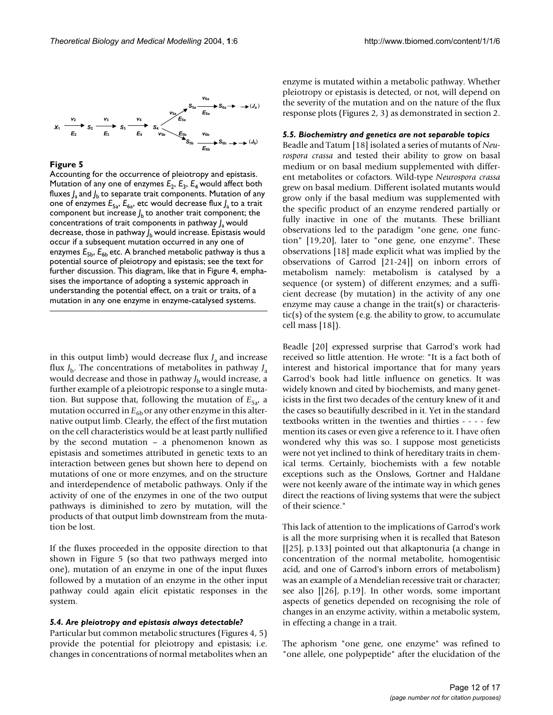

Accounting for the occurrence of pleiotropy and epistasis. Mutation of any one of enzymes  $E_2$ ,  $E_3$ ,  $E_4$  would affect both fluxes  $\int_{\rm a}$  and  $\int_{\rm b}$  to separate trait components. Mutation of any one of enzymes  $E_{5a}$ ,  $E_{6a}$ , etc would decrease flux  $\int_a$  to a trait component but increase  $J_{\rm b}$  to another trait component; the concentrations of trait components in pathway *J* a would decrease, those in pathway *J* b would increase. Epistasis would occur if a subsequent mutation occurred in any one of enzymes  $E_{5b}$ ,  $E_{6b}$  etc. A branched metabolic pathway is thus a potential source of pleiotropy and epistasis; see the text for further discussion. This diagram, like that in Figure 4, emphasises the importance of adopting a systemic approach in understanding the potential effect, on a trait or traits, of a mutation in any one enzyme in enzyme-catalysed systems.

in this output limb) would decrease flux  $J<sub>a</sub>$  and increase flux  $J<sub>b</sub>$ . The concentrations of metabolites in pathway  $J<sub>a</sub>$ would decrease and those in pathway  $J<sub>b</sub>$  would increase, a further example of a pleiotropic response to a single mutation. But suppose that, following the mutation of  $E_{5a}$ , a mutation occurred in  $E_{6b}$  or any other enzyme in this alternative output limb. Clearly, the effect of the first mutation on the cell characteristics would be at least partly nullified by the second mutation – a phenomenon known as epistasis and sometimes attributed in genetic texts to an interaction between genes but shown here to depend on mutations of one or more enzymes, and on the structure and interdependence of metabolic pathways. Only if the activity of one of the enzymes in one of the two output pathways is diminished to zero by mutation, will the products of that output limb downstream from the mutation be lost.

If the fluxes proceeded in the opposite direction to that shown in Figure 5 (so that two pathways merged into one), mutation of an enzyme in one of the input fluxes followed by a mutation of an enzyme in the other input pathway could again elicit epistatic responses in the system.

#### *5.4. Are pleiotropy and epistasis always detectable?*

Particular but common metabolic structures (Figures 4, 5) provide the potential for pleiotropy and epistasis; i.e. changes in concentrations of normal metabolites when an

enzyme is mutated within a metabolic pathway. Whether pleiotropy or epistasis is detected, or not, will depend on the severity of the mutation and on the nature of the flux response plots (Figures [2](#page-1-0), 3) as demonstrated in section 2.

#### *5.5. Biochemistry and genetics are not separable topics*

Beadle and Tatum [18] isolated a series of mutants of *Neurospora crassa* and tested their ability to grow on basal medium or on basal medium supplemented with different metabolites or cofactors. Wild-type *Neurospora crassa* grew on basal medium. Different isolated mutants would grow only if the basal medium was supplemented with the specific product of an enzyme rendered partially or fully inactive in one of the mutants. These brilliant observations led to the paradigm "one gene, one function" [19,20], later to "one gene, one enzyme". These observations [18] made explicit what was implied by the observations of Garrod [21-24]] on inborn errors of metabolism namely: metabolism is catalysed by a sequence (or system) of different enzymes; and a sufficient decrease (by mutation) in the activity of any one enzyme may cause a change in the trait(s) or characteristic(s) of the system (e.g. the ability to grow, to accumulate cell mass [18]).

Beadle [20] expressed surprise that Garrod's work had received so little attention. He wrote: "It is a fact both of interest and historical importance that for many years Garrod's book had little influence on genetics. It was widely known and cited by biochemists, and many geneticists in the first two decades of the century knew of it and the cases so beautifully described in it. Yet in the standard textbooks written in the twenties and thirties - - - - few mention its cases or even give a reference to it. I have often wondered why this was so. I suppose most geneticists were not yet inclined to think of hereditary traits in chemical terms. Certainly, biochemists with a few notable exceptions such as the Onslows, Gortner and Haldane were not keenly aware of the intimate way in which genes direct the reactions of living systems that were the subject of their science."

This lack of attention to the implications of Garrod's work is all the more surprising when it is recalled that Bateson [[25], p.133] pointed out that alkaptonuria (a change in concentration of the normal metabolite, homogentisic acid, and one of Garrod's inborn errors of metabolism) was an example of a Mendelian recessive trait or character; see also [[26], p.19]. In other words, some important aspects of genetics depended on recognising the role of changes in an enzyme activity, within a metabolic system, in effecting a change in a trait.

The aphorism "one gene, one enzyme" was refined to "one allele, one polypeptide" after the elucidation of the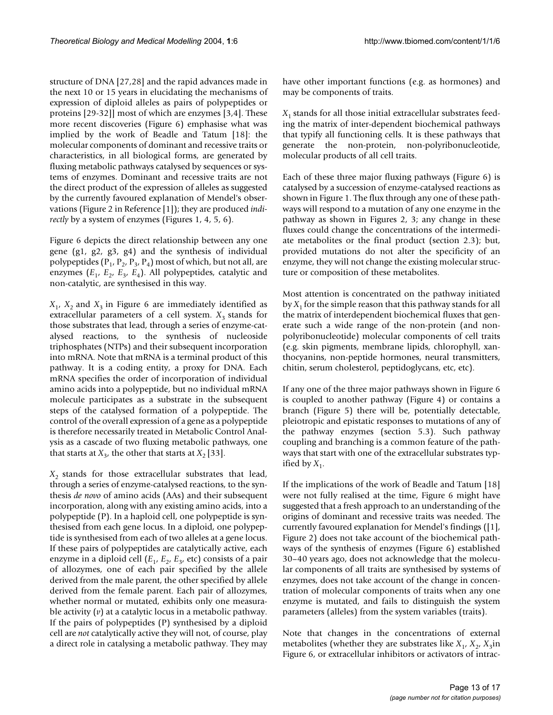structure of DNA [27,28] and the rapid advances made in the next 10 or 15 years in elucidating the mechanisms of expression of diploid alleles as pairs of polypeptides or proteins [29-32]] most of which are enzymes [3,4]. These more recent discoveries (Figure [6\)](#page-4-0) emphasise what was implied by the work of Beadle and Tatum [18]: the molecular components of dominant and recessive traits or characteristics, in all biological forms, are generated by fluxing metabolic pathways catalysed by sequences or systems of enzymes. Dominant and recessive traits are not the direct product of the expression of alleles as suggested by the currently favoured explanation of Mendel's observations (Figure [2](#page-1-0) in Reference [1]); they are produced *indirectly* by a system of enzymes (Figures 1, 4, 5, [6](#page-4-0)).

Figure [6](#page-4-0) depicts the direct relationship between any one gene (g1, g2, g3, g4) and the synthesis of individual polypeptides ( $P_1$ ,  $P_2$ ,  $P_3$ ,  $P_4$ ) most of which, but not all, are enzymes  $(E_1, E_2, E_3, E_4)$ . All polypeptides, catalytic and non-catalytic, are synthesised in this way.

 $X_1$ ,  $X_2$  and  $X_3$  in Figure [6](#page-4-0) are immediately identified as extracellular parameters of a cell system.  $X_3$  stands for those substrates that lead, through a series of enzyme-catalysed reactions, to the synthesis of nucleoside triphosphates (NTPs) and their subsequent incorporation into mRNA. Note that mRNA is a terminal product of this pathway. It is a coding entity, a proxy for DNA. Each mRNA specifies the order of incorporation of individual amino acids into a polypeptide, but no individual mRNA molecule participates as a substrate in the subsequent steps of the catalysed formation of a polypeptide. The control of the overall expression of a gene as a polypeptide is therefore necessarily treated in Metabolic Control Analysis as a cascade of two fluxing metabolic pathways, one that starts at  $X_3$ , the other that starts at  $X_2$  [33].

 $X_2$  stands for those extracellular substrates that lead, through a series of enzyme-catalysed reactions, to the synthesis *de novo* of amino acids (AAs) and their subsequent incorporation, along with any existing amino acids, into a polypeptide (P). In a haploid cell, one polypeptide is synthesised from each gene locus. In a diploid, one polypeptide is synthesised from each of two alleles at a gene locus. If these pairs of polypeptides are catalytically active, each enzyme in a diploid cell  $(E_1, E_2, E_3,$  etc) consists of a pair of allozymes, one of each pair specified by the allele derived from the male parent, the other specified by allele derived from the female parent. Each pair of allozymes, whether normal or mutated, exhibits only one measurable activity (*v*) at a catalytic locus in a metabolic pathway. If the pairs of polypeptides (P) synthesised by a diploid cell are *not* catalytically active they will not, of course, play a direct role in catalysing a metabolic pathway. They may

have other important functions (e.g. as hormones) and may be components of traits.

 $X<sub>1</sub>$  stands for all those initial extracellular substrates feeding the matrix of inter-dependent biochemical pathways that typify all functioning cells. It is these pathways that generate the non-protein, non-polyribonucleotide, molecular products of all cell traits.

Each of these three major fluxing pathways (Figure [6](#page-4-0)) is catalysed by a succession of enzyme-catalysed reactions as shown in Figure 1. The flux through any one of these pathways will respond to a mutation of any one enzyme in the pathway as shown in Figures [2,](#page-1-0) 3; any change in these fluxes could change the concentrations of the intermediate metabolites or the final product (section 2.3); but, provided mutations do not alter the specificity of an enzyme, they will not change the existing molecular structure or composition of these metabolites.

Most attention is concentrated on the pathway initiated by  $X_1$  for the simple reason that this pathway stands for all the matrix of interdependent biochemical fluxes that generate such a wide range of the non-protein (and nonpolyribonucleotide) molecular components of cell traits (e.g. skin pigments, membrane lipids, chlorophyll, xanthocyanins, non-peptide hormones, neural transmitters, chitin, serum cholesterol, peptidoglycans, etc, etc).

If any one of the three major pathways shown in Figure [6](#page-4-0) is coupled to another pathway (Figure 4) or contains a branch (Figure 5) there will be, potentially detectable, pleiotropic and epistatic responses to mutations of any of the pathway enzymes (section 5.3). Such pathway coupling and branching is a common feature of the pathways that start with one of the extracellular substrates typified by  $X_1$ .

If the implications of the work of Beadle and Tatum [18] were not fully realised at the time, Figure [6](#page-4-0) might have suggested that a fresh approach to an understanding of the origins of dominant and recessive traits was needed. The currently favoured explanation for Mendel's findings ([1], Figure [2](#page-1-0)) does not take account of the biochemical pathways of the synthesis of enzymes (Figure [6](#page-4-0)) established 30–40 years ago, does not acknowledge that the molecular components of all traits are synthesised by systems of enzymes, does not take account of the change in concentration of molecular components of traits when any one enzyme is mutated, and fails to distinguish the system parameters (alleles) from the system variables (traits).

Note that changes in the concentrations of external metabolites (whether they are substrates like  $X_1$ ,  $X_2$ ,  $X_3$ in Figure [6,](#page-4-0) or extracellular inhibitors or activators of intrac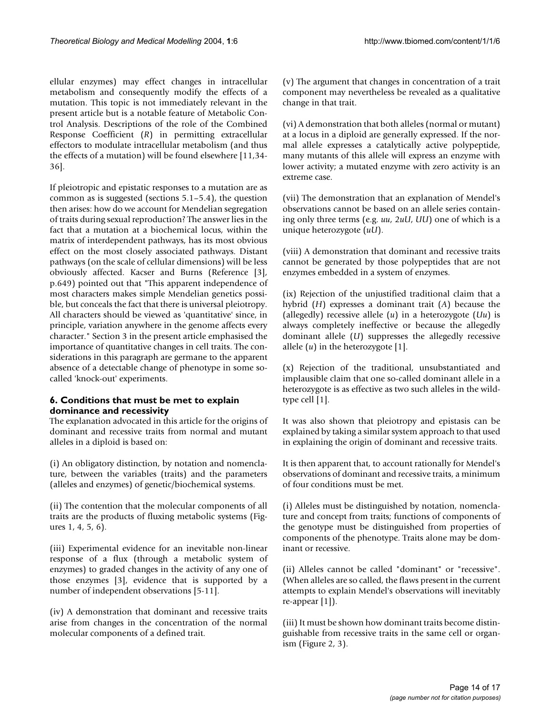ellular enzymes) may effect changes in intracellular metabolism and consequently modify the effects of a mutation. This topic is not immediately relevant in the present article but is a notable feature of Metabolic Control Analysis. Descriptions of the role of the Combined Response Coefficient (*R*) in permitting extracellular effectors to modulate intracellular metabolism (and thus the effects of a mutation) will be found elsewhere [11,34- 36].

If pleiotropic and epistatic responses to a mutation are as common as is suggested (sections 5.1–5.4), the question then arises: how do we account for Mendelian segregation of traits during sexual reproduction? The answer lies in the fact that a mutation at a biochemical locus, within the matrix of interdependent pathways, has its most obvious effect on the most closely associated pathways. Distant pathways (on the scale of cellular dimensions) will be less obviously affected. Kacser and Burns (Reference [3], p.649) pointed out that "This apparent independence of most characters makes simple Mendelian genetics possible, but conceals the fact that there is universal pleiotropy. All characters should be viewed as 'quantitative' since, in principle, variation anywhere in the genome affects every character." Section 3 in the present article emphasised the importance of quantitative changes in cell traits. The considerations in this paragraph are germane to the apparent absence of a detectable change of phenotype in some socalled 'knock-out' experiments.

# **6. Conditions that must be met to explain dominance and recessivity**

The explanation advocated in this article for the origins of dominant and recessive traits from normal and mutant alleles in a diploid is based on:

(i) An obligatory distinction, by notation and nomenclature, between the variables (traits) and the parameters (alleles and enzymes) of genetic/biochemical systems.

(ii) The contention that the molecular components of all traits are the products of fluxing metabolic systems (Figures 1, 4, 5, [6\)](#page-4-0).

(iii) Experimental evidence for an inevitable non-linear response of a flux (through a metabolic system of enzymes) to graded changes in the activity of any one of those enzymes [3], evidence that is supported by a number of independent observations [[5](#page-15-0)-11].

(iv) A demonstration that dominant and recessive traits arise from changes in the concentration of the normal molecular components of a defined trait.

(v) The argument that changes in concentration of a trait component may nevertheless be revealed as a qualitative change in that trait.

(vi) A demonstration that both alleles (normal or mutant) at a locus in a diploid are generally expressed. If the normal allele expresses a catalytically active polypeptide, many mutants of this allele will express an enzyme with lower activity; a mutated enzyme with zero activity is an extreme case.

(vii) The demonstration that an explanation of Mendel's observations cannot be based on an allele series containing only three terms (e.g. *uu*, 2*uU*, *UU*) one of which is a unique heterozygote (*uU*).

(viii) A demonstration that dominant and recessive traits cannot be generated by those polypeptides that are not enzymes embedded in a system of enzymes.

(ix) Rejection of the unjustified traditional claim that a hybrid (*H*) expresses a dominant trait (*A*) because the (allegedly) recessive allele (*u*) in a heterozygote (*Uu*) is always completely ineffective or because the allegedly dominant allele (*U*) suppresses the allegedly recessive allele (*u*) in the heterozygote [1].

(x) Rejection of the traditional, unsubstantiated and implausible claim that one so-called dominant allele in a heterozygote is as effective as two such alleles in the wildtype cell [1].

It was also shown that pleiotropy and epistasis can be explained by taking a similar system approach to that used in explaining the origin of dominant and recessive traits.

It is then apparent that, to account rationally for Mendel's observations of dominant and recessive traits, a minimum of four conditions must be met.

(i) Alleles must be distinguished by notation, nomenclature and concept from traits; functions of components of the genotype must be distinguished from properties of components of the phenotype. Traits alone may be dominant or recessive.

(ii) Alleles cannot be called "dominant" or "recessive". (When alleles are so called, the flaws present in the current attempts to explain Mendel's observations will inevitably re-appear [1]).

(iii) It must be shown how dominant traits become distinguishable from recessive traits in the same cell or organism (Figure [2,](#page-1-0) 3).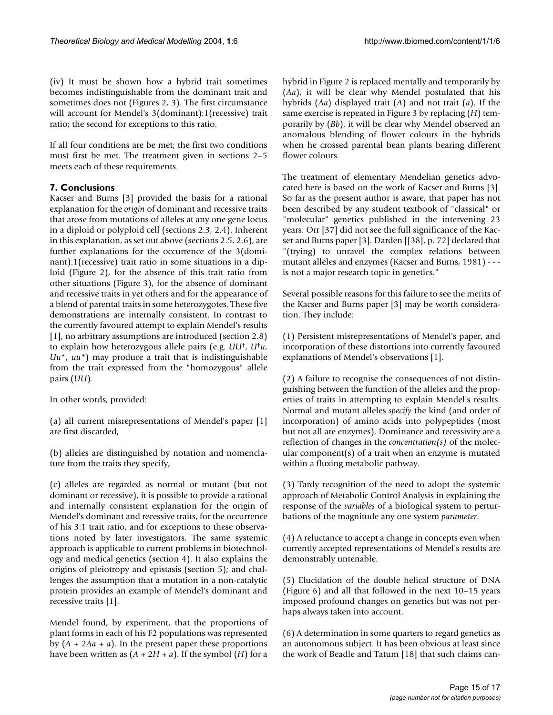(iv) It must be shown how a hybrid trait sometimes becomes indistinguishable from the dominant trait and sometimes does not (Figures [2](#page-1-0), 3). The first circumstance will account for Mendel's 3(dominant):1(recessive) trait ratio; the second for exceptions to this ratio.

If all four conditions are be met; the first two conditions must first be met. The treatment given in sections 2–5 meets each of these requirements.

# **7. Conclusions**

Kacser and Burns [3] provided the basis for a rational explanation for the *origin* of dominant and recessive traits that arose from mutations of alleles at any one gene locus in a diploid or polyploid cell (sections 2.3, 2.4). Inherent in this explanation, as set out above (sections 2.5, 2.6), are further explanations for the occurrence of the 3(dominant):1(recessive) trait ratio in some situations in a diploid (Figure [2\)](#page-1-0), for the absence of this trait ratio from other situations (Figure 3), for the absence of dominant and recessive traits in yet others and for the appearance of a blend of parental traits in some heterozygotes. These five demonstrations are internally consistent. In contrast to the currently favoured attempt to explain Mendel's results [1], no arbitrary assumptions are introduced (section 2.8) to explain how heterozygous allele pairs (e.g. *UU*†, *U*†*u*, *Uu*\*, *uu\**) may produce a trait that is indistinguishable from the trait expressed from the "homozygous" allele pairs (*UU*).

In other words, provided:

(a) all current misrepresentations of Mendel's paper [1] are first discarded,

(b) alleles are distinguished by notation and nomenclature from the traits they specify,

(c) alleles are regarded as normal or mutant (but not dominant or recessive), it is possible to provide a rational and internally consistent explanation for the origin of Mendel's dominant and recessive traits, for the occurrence of his 3:1 trait ratio, and for exceptions to these observations noted by later investigators. The same systemic approach is applicable to current problems in biotechnology and medical genetics (section 4). It also explains the origins of pleiotropy and epistasis (section 5); and challenges the assumption that a mutation in a non-catalytic protein provides an example of Mendel's dominant and recessive traits [1].

Mendel found, by experiment, that the proportions of plant forms in each of his F2 populations was represented by (*A* + 2*Aa* + *a*). In the present paper these proportions have been written as  $(A + 2H + a)$ . If the symbol  $(H)$  for a

hybrid in Figure [2](#page-1-0) is replaced mentally and temporarily by (*Aa*), it will be clear why Mendel postulated that his hybrids (*Aa*) displayed trait (*A*) and not trait (*a*). If the same exercise is repeated in Figure 3 by replacing (*H*) temporarily by (*Bb*), it will be clear why Mendel observed an anomalous blending of flower colours in the hybrids when he crossed parental bean plants bearing different flower colours.

The treatment of elementary Mendelian genetics advocated here is based on the work of Kacser and Burns [3]. So far as the present author is aware, that paper has not been described by any student textbook of "classical" or "molecular" genetics published in the intervening 23 years. Orr [37] did not see the full significance of the Kacser and Burns paper [3]. Darden [[38], p. 72] declared that "(trying) to unravel the complex relations between mutant alleles and enzymes (Kacser and Burns, 1981) - - is not a major research topic in genetics."

Several possible reasons for this failure to see the merits of the Kacser and Burns paper [3] may be worth consideration. They include:

(1) Persistent misrepresentations of Mendel's paper, and incorporation of these distortions into currently favoured explanations of Mendel's observations [1].

(2) A failure to recognise the consequences of not distinguishing between the function of the alleles and the properties of traits in attempting to explain Mendel's results. Normal and mutant alleles *specify* the kind (and order of incorporation) of amino acids into polypeptides (most but not all are enzymes). Dominance and recessivity are a reflection of changes in the *concentration(s)* of the molecular component(s) of a trait when an enzyme is mutated within a fluxing metabolic pathway.

(3) Tardy recognition of the need to adopt the systemic approach of Metabolic Control Analysis in explaining the response of the *variables* of a biological system to perturbations of the magnitude any one system *parameter*.

(4) A reluctance to accept a change in concepts even when currently accepted representations of Mendel's results are demonstrably untenable.

(5) Elucidation of the double helical structure of DNA (Figure [6\)](#page-4-0) and all that followed in the next 10–15 years imposed profound changes on genetics but was not perhaps always taken into account.

(6) A determination in some quarters to regard genetics as an autonomous subject. It has been obvious at least since the work of Beadle and Tatum [18] that such claims can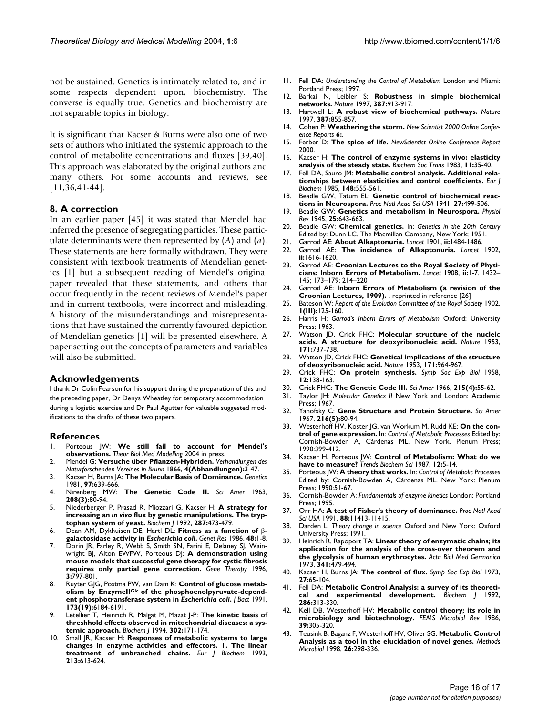not be sustained. Genetics is intimately related to, and in some respects dependent upon, biochemistry. The converse is equally true. Genetics and biochemistry are not separable topics in biology.

It is significant that Kacser & Burns were also one of two sets of authors who initiated the systemic approach to the control of metabolite concentrations and fluxes [39,40]. This approach was elaborated by the original authors and many others. For some accounts and reviews, see [11,36,41-44].

## **8. A correction**

In an earlier paper [45] it was stated that Mendel had inferred the presence of segregating particles. These particulate determinants were then represented by (*A*) and (*a*). These statements are here formally withdrawn. They were consistent with textbook treatments of Mendelian genetics [1] but a subsequent reading of Mendel's original paper revealed that these statements, and others that occur frequently in the recent reviews of Mendel's paper and in current textbooks, were incorrect and misleading. A history of the misunderstandings and misrepresentations that have sustained the currently favoured depiction of Mendelian genetics [1] will be presented elsewhere. A paper setting out the concepts of parameters and variables will also be submitted.

#### **Acknowledgements**

I thank Dr Colin Pearson for his support during the preparation of this and the preceding paper, Dr Denys Wheatley for temporary accommodation during a logistic exercise and Dr Paul Agutter for valuable suggested modifications to the drafts of these two papers.

#### **References**

- 1. Porteous JW: **We still fail to account for Mendel's observations.** *Theor Biol Med Modelling* 2004 in press.
- 2. Mendel G: **Versuche über Pflanzen-Hybriden.** *Verhandlungen des Naturforschenden Vereines in Brunn* 1866, **4(Abhandlungen):**3-47.
- 3. Kacser H, Burns JA: **[The Molecular Basis of Dominance.](http://www.ncbi.nlm.nih.gov/entrez/query.fcgi?cmd=Retrieve&db=PubMed&dopt=Abstract&list_uids=7297851)** *Genetics* 1981, **97:**639-666.
- 4. Nirenberg MW: **[The Genetic Code II.](http://www.ncbi.nlm.nih.gov/entrez/query.fcgi?cmd=Retrieve&db=PubMed&dopt=Abstract&list_uids=13938751)** *Sci Amer* 1963, **208(3):**80-94.
- <span id="page-15-0"></span>5. Niederberger P, Prasad R, Miozzari G, Kacser H: **A strategy for increasing an** *in vivo* **[flux by genetic manipulations. The tryp](http://www.ncbi.nlm.nih.gov/entrez/query.fcgi?cmd=Retrieve&db=PubMed&dopt=Abstract&list_uids=1445205)[tophan system of yeast.](http://www.ncbi.nlm.nih.gov/entrez/query.fcgi?cmd=Retrieve&db=PubMed&dopt=Abstract&list_uids=1445205)** *Biochem J* 1992, **287:**473-479.
- 6. Dean AM, Dykhuisen DE, Hartl DL: **Fitness as a function of** β**galactosidase activity in** *Escherichia coli***[.](http://www.ncbi.nlm.nih.gov/entrez/query.fcgi?cmd=Retrieve&db=PubMed&dopt=Abstract&list_uids=3096817)** *Genet Res* 1986, **48:**1-8.
- 7. Dorin JR, Farley R, Webb S, Smith SN, Farini E, Delaney SJ, Wainwright BJ, Alton EWFW, Porteous DJ: **[A demonstration using](http://www.ncbi.nlm.nih.gov/entrez/query.fcgi?cmd=Retrieve&db=PubMed&dopt=Abstract&list_uids=8875228) [mouse models that successful gene therapy for cystic fibrosis](http://www.ncbi.nlm.nih.gov/entrez/query.fcgi?cmd=Retrieve&db=PubMed&dopt=Abstract&list_uids=8875228) [requires only partial gene correction.](http://www.ncbi.nlm.nih.gov/entrez/query.fcgi?cmd=Retrieve&db=PubMed&dopt=Abstract&list_uids=8875228)** *Gene Therapy* 1996, **3:**797-801.
- 8. Ruyter GJG, Postma PW, van Dam K: **Control of glucose metab**olism by Enzymell<sup>Gic</sup> of the phosphoenolpyruvate-depend**ent phosphotransferase system in** *Escherichia coli***[.](http://www.ncbi.nlm.nih.gov/entrez/query.fcgi?cmd=Retrieve&db=PubMed&dopt=Abstract&list_uids=1917852)** *J Bact* 1991, **173(19):**6184-6191.
- 9. Letellier T, Heinrich R, Malgat M, Mazat J-P: **[The kinetic basis of](http://www.ncbi.nlm.nih.gov/entrez/query.fcgi?cmd=Retrieve&db=PubMed&dopt=Abstract&list_uids=8068003) [threshhold effects observed in mitochondrial diseases: a sys](http://www.ncbi.nlm.nih.gov/entrez/query.fcgi?cmd=Retrieve&db=PubMed&dopt=Abstract&list_uids=8068003)[temic approach.](http://www.ncbi.nlm.nih.gov/entrez/query.fcgi?cmd=Retrieve&db=PubMed&dopt=Abstract&list_uids=8068003)** *Biochem J* 1994, **302:**171-174.
- 10. Small JR, Kacser H: **[Responses of metabolic systems to large](http://www.ncbi.nlm.nih.gov/entrez/query.fcgi?cmd=Retrieve&db=PubMed&dopt=Abstract&list_uids=8477732) [changes in enzyme activities and effectors. 1. The linear](http://www.ncbi.nlm.nih.gov/entrez/query.fcgi?cmd=Retrieve&db=PubMed&dopt=Abstract&list_uids=8477732) [treatment of unbranched chains.](http://www.ncbi.nlm.nih.gov/entrez/query.fcgi?cmd=Retrieve&db=PubMed&dopt=Abstract&list_uids=8477732)** *Eur J Biochem* 1993, **213:**613-624.
- 11. Fell DA: *Understanding the Control of Metabolism* London and Miami: Portland Press; 1997.
- 12. Barkai N, Leibler S: **[Robustness in simple biochemical](http://www.ncbi.nlm.nih.gov/entrez/query.fcgi?cmd=Retrieve&db=PubMed&dopt=Abstract&list_uids=10.1038/43199) [networks](http://www.ncbi.nlm.nih.gov/entrez/query.fcgi?cmd=Retrieve&db=PubMed&dopt=Abstract&list_uids=10.1038/43199)[.](http://www.ncbi.nlm.nih.gov/entrez/query.fcgi?cmd=Retrieve&db=PubMed&dopt=Abstract&list_uids=9202124)** *Nature* 1997, **387:**913-917.
- 13. Hartwell L: **[A robust view of biochemical pathways](http://www.ncbi.nlm.nih.gov/entrez/query.fcgi?cmd=Retrieve&db=PubMed&dopt=Abstract&list_uids=9202115)[.](http://www.ncbi.nlm.nih.gov/entrez/query.fcgi?cmd=Retrieve&db=PubMed&dopt=Abstract&list_uids=10.1038/43072)** *Nature* 1997, **387:**855-857.
- 14. Cohen P: **Weathering the storm.** *New Scientist 2000 Online Conference Reports* **6:**.
- 15. Ferber D: **The spice of life.** *NewScientist Online Conference Report* 2000.
- 16. Kacser H: **[The control of enzyme systems in vivo: elasticity](http://www.ncbi.nlm.nih.gov/entrez/query.fcgi?cmd=Retrieve&db=PubMed&dopt=Abstract&list_uids=6825913) [analysis of the steady state.](http://www.ncbi.nlm.nih.gov/entrez/query.fcgi?cmd=Retrieve&db=PubMed&dopt=Abstract&list_uids=6825913)** *Biochem Soc Trans* 1983, **11:**35-40.
- 17. Fell DA, Sauro JM: **[Metabolic control analysis. Additional rela](http://www.ncbi.nlm.nih.gov/entrez/query.fcgi?cmd=Retrieve&db=PubMed&dopt=Abstract&list_uids=3996393)[tionships between elasticities and control coefficients.](http://www.ncbi.nlm.nih.gov/entrez/query.fcgi?cmd=Retrieve&db=PubMed&dopt=Abstract&list_uids=3996393)** *Eur J Biochem* 1985, **148:**555-561.
- 18. Beadle GW, Tatum EL: **Genetic control of biochemical reactions in Neurospora.** *Proc Natl Acad Sci USA* 1941, **27:**499-506.
- 19. Beadle GW: **Genetics and metabolism in Neurospora.** *Physiol Rev* 1945, **25:**643-663.
- 20. Beadle GW: **Chemical genetics.** In: *Genetics in the 20th Century* Edited by: Dunn LC. The Macmillan Company, New York; 1951.
- 21. Garrod AE: **[About Alkaptonuria.](http://www.ncbi.nlm.nih.gov/entrez/query.fcgi?cmd=Retrieve&db=PubMed&dopt=Abstract&list_uids=10.1016/S0140-6736(01)74537-0)** *Lancet* 1901, **ii:**1484-1486.
- 22. Garrod AE: **[The incidence of Alkaptonuria.](http://www.ncbi.nlm.nih.gov/entrez/query.fcgi?cmd=Retrieve&db=PubMed&dopt=Abstract&list_uids=10.1016/S0140-6736(01)41972-6)** *Lancet* 1902, **ii:**1616-1620.
- 23. Garrod AE: **[Croonian Lectures to the Royal Society of Physi](http://www.ncbi.nlm.nih.gov/entrez/query.fcgi?cmd=Retrieve&db=PubMed&dopt=Abstract&list_uids=10.1016/S0140-6736(01)78482-6)[cians: Inborn Errors of Metabolism.](http://www.ncbi.nlm.nih.gov/entrez/query.fcgi?cmd=Retrieve&db=PubMed&dopt=Abstract&list_uids=10.1016/S0140-6736(01)78482-6)** *Lancet* 1908, **ii:**1-7. 1432– 145; 173–179; 214–220
- 24. Garrod AE: **Inborn Errors of Metabolism (a revision of the Croonian Lectures, 1909).** . reprinted in reference [26]
- 25. Bateson W: *Report of the Evolution Committee of the Royal Society* 1902, **1(III):**125-160.
- 26. Harris H: *Garrod's Inborn Errors of Metabolism* Oxford: University Press; 1963.
- 27. Watson JD, Crick FHC: **[Molecular structure of the nucleic](http://www.ncbi.nlm.nih.gov/entrez/query.fcgi?cmd=Retrieve&db=PubMed&dopt=Abstract&list_uids=13054692) [acids. A structure for deoxyribonucleic acid.](http://www.ncbi.nlm.nih.gov/entrez/query.fcgi?cmd=Retrieve&db=PubMed&dopt=Abstract&list_uids=13054692)** *Nature* 1953, **171:**737-738.
- 28. Watson JD, Crick FHC: **[Genetical implications of the structure](http://www.ncbi.nlm.nih.gov/entrez/query.fcgi?cmd=Retrieve&db=PubMed&dopt=Abstract&list_uids=13063483) [of deoxyribonucleic acid.](http://www.ncbi.nlm.nih.gov/entrez/query.fcgi?cmd=Retrieve&db=PubMed&dopt=Abstract&list_uids=13063483)** *Nature* 1953, **171:**964-967.
- 29. Crick FHC: **[On protein synthesis.](http://www.ncbi.nlm.nih.gov/entrez/query.fcgi?cmd=Retrieve&db=PubMed&dopt=Abstract&list_uids=13580867)** *Symp Soc Exp Biol* 1958, **12:**138-163.
- 30. Crick FHC: **[The Genetic Code III.](http://www.ncbi.nlm.nih.gov/entrez/query.fcgi?cmd=Retrieve&db=PubMed&dopt=Abstract&list_uids=5916452)** *Sci Amer* 1966, **215(4):**55-62.
- 31. Taylor JH: *Molecular Genetics II* New York and London: Academic
- Press; 1967. 32. Yanofsky C: **[Gene Structure and Protein Structure.](http://www.ncbi.nlm.nih.gov/entrez/query.fcgi?cmd=Retrieve&db=PubMed&dopt=Abstract&list_uids=6042535)** *Sci Amer* 1967, **216(5):**80-94.
- 33. Westerhoff HV, Koster JG, van Workum M, Rudd KE: **On the control of gene expression.** In: *Control of Metabolic Processes* Edited by: Cornish-Bowden A, Cárdenas ML. New York. Plenum Press; 1990:399-412.
- 34. Kacser H, Porteous JW: **[Control of Metabolism: What do we](http://www.ncbi.nlm.nih.gov/entrez/query.fcgi?cmd=Retrieve&db=PubMed&dopt=Abstract&list_uids=10.1016/0968-0004(87)90005-3) [have to measure?](http://www.ncbi.nlm.nih.gov/entrez/query.fcgi?cmd=Retrieve&db=PubMed&dopt=Abstract&list_uids=10.1016/0968-0004(87)90005-3)** *Trends Biochem Sci* 1987, **12:**5-14.
- 35. Porteous JW: **A theory that works.** In: *Control of Metabolic Processes* Edited by: Cornish-Bowden A, Cárdenas ML. New York: Plenum Press; 1990:51-67.
- 36. Cornish-Bowden A: *Fundamentals of enzyme kinetics* London: Portland Press; 1995.
- 37. Orr HA: **[A test of Fisher's theory of dominance](http://www.ncbi.nlm.nih.gov/entrez/query.fcgi?cmd=Retrieve&db=PubMed&dopt=Abstract&list_uids=53145)[.](http://www.ncbi.nlm.nih.gov/entrez/query.fcgi?cmd=Retrieve&db=PubMed&dopt=Abstract&list_uids=1763055)** *Proc Natl Acad Sci USA* 1991, **88:**11413-11415.
- 38. Darden L: *Theory change in science* Oxford and New York: Oxford University Press; 1991.
- 39. Heinrich R, Rapoport TA: **Linear theory of enzymatic chains; its application for the analysis of the cross-over theorem and the glycolysis of human erythrocytes.** *Acta Biol Med Germanica* 1973, **341:**479-494.
- 40. Kacser H, Burns JA: **[The control of flux.](http://www.ncbi.nlm.nih.gov/entrez/query.fcgi?cmd=Retrieve&db=PubMed&dopt=Abstract&list_uids=4148886)** *Symp Soc Exp Biol* 1973, **27:**65-104.
- 41. Fell DA: **[Metabolic Control Analysis: a survey of its theoreti](http://www.ncbi.nlm.nih.gov/entrez/query.fcgi?cmd=Retrieve&db=PubMed&dopt=Abstract&list_uids=1530563)[cal and experimental development.](http://www.ncbi.nlm.nih.gov/entrez/query.fcgi?cmd=Retrieve&db=PubMed&dopt=Abstract&list_uids=1530563)** *Biochem J* 1992, **286:**313-330.
- 42. Kell DB, Westerhoff HV: **[Metabolic control theory; its role in](http://www.ncbi.nlm.nih.gov/entrez/query.fcgi?cmd=Retrieve&db=PubMed&dopt=Abstract&list_uids=10.1016/0378-1097(86)90020-0) [microbiology and biotechnology.](http://www.ncbi.nlm.nih.gov/entrez/query.fcgi?cmd=Retrieve&db=PubMed&dopt=Abstract&list_uids=10.1016/0378-1097(86)90020-0)** *FEMS Microbiol Rev* 1986, **39:**305-320.
- 43. Teusink B, Baganz F, Westerhoff HV, Oliver SG: **Metabolic Control Analysis as a tool in the elucidation of novel genes.** *Methods Microbiol* 1998, **26:**298-336.